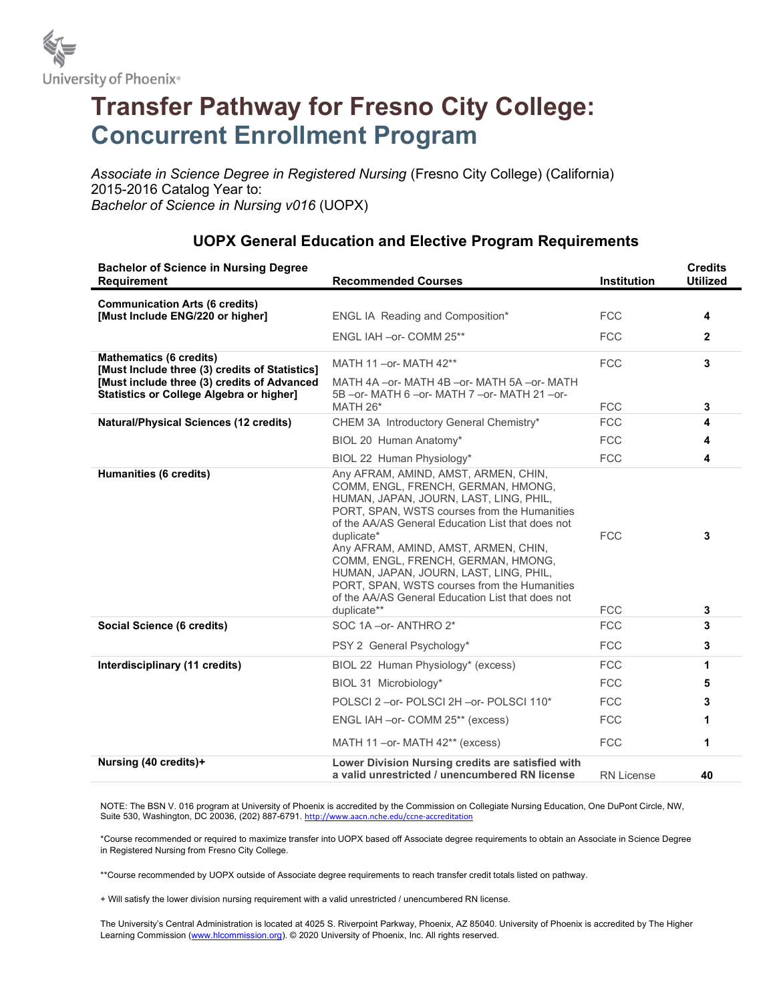

# Transfer Pathway for Fresno City College: Concurrent Enrollment Program

Associate in Science Degree in Registered Nursing (Fresno City College) (California) 2015-2016 Catalog Year to: Bachelor of Science in Nursing v016 (UOPX)

#### Bachelor of Science in Nursing Degree Requirement Recommended Courses Institution **Credits** Utilized Communication Arts (6 credits) [Must Include ENG/220 or higher] ENGL IA Reading and Composition\* FCC 4 ENGL IAH –or- COMM 25\*\* FCC 2 Mathematics (6 credits) mathematics (6 credits)<br>[Must Include three (3) credits of Statistics] MATH 11 –or- MATH 42\*\* FCC FCC 3 [Must include three (3) credits of Advanced Statistics or College Algebra or higher] MATH 4A –or- MATH 4B –or- MATH 5A –or- MATH 5B –or- MATH 6 –or- MATH 7 –or- MATH 21 –or-MATH  $26^*$  3 Natural/Physical Sciences (12 credits) CHEM 3A Introductory General Chemistry\* FCC 6 FCC BIOL 20 Human Anatomy\* FCC 4 BIOL 22 Human Physiology\* FCC FCC 4 Humanities (6 credits) **Any AFRAM, AMIND, AMST, ARMEN, CHIN,** Any AFRAM, AMIND, AMST, ARMEN, CHIN, COMM, ENGL, FRENCH, GERMAN, HMONG, HUMAN, JAPAN, JOURN, LAST, LING, PHIL, PORT, SPAN, WSTS courses from the Humanities of the AA/AS General Education List that does not duplicate\* 3 Any AFRAM, AMIND, AMST, ARMEN, CHIN, COMM, ENGL, FRENCH, GERMAN, HMONG, HUMAN, JAPAN, JOURN, LAST, LING, PHIL, PORT, SPAN, WSTS courses from the Humanities of the AA/AS General Education List that does not duplicate\*\* 3 Social Science (6 credits) SOC 1A –or- ANTHRO 2<sup>\*</sup> FCC 53 PSY 2 General Psychology\* FCC **3 Interdisciplinary (11 credits)** BIOL 22 Human Physiology\* (excess) FCC FCC 1 BIOL 31 Microbiology\* **5** POLSCI 2 –or- POLSCI 2H –or- POLSCI 110\* FCC 3 ENGL IAH –or- COMM 25<sup>\*\*</sup> (excess) FCC FCC MATH 11 –or- MATH 42<sup>\*\*</sup> (excess) FCC FCC Nursing (40 credits)+ Lower Division Nursing credits are satisfied with a valid unrestricted / unencumbered RN license RN License 40

### UOPX General Education and Elective Program Requirements

NOTE: The BSN V. 016 program at University of Phoenix is accredited by the Commission on Collegiate Nursing Education, One DuPont Circle, NW, Suite 530, Washington, DC 20036, (202) 887-6791. http://www.aacn.nche.edu/ccne-accreditation

\*Course recommended or required to maximize transfer into UOPX based off Associate degree requirements to obtain an Associate in Science Degree in Registered Nursing from Fresno City College.

\*\*Course recommended by UOPX outside of Associate degree requirements to reach transfer credit totals listed on pathway.

+ Will satisfy the lower division nursing requirement with a valid unrestricted / unencumbered RN license.

The University's Central Administration is located at 4025 S. Riverpoint Parkway, Phoenix, AZ 85040. University of Phoenix is accredited by The Higher Learning Commission (www.hlcommission.org). © 2020 University of Phoenix, Inc. All rights reserved.